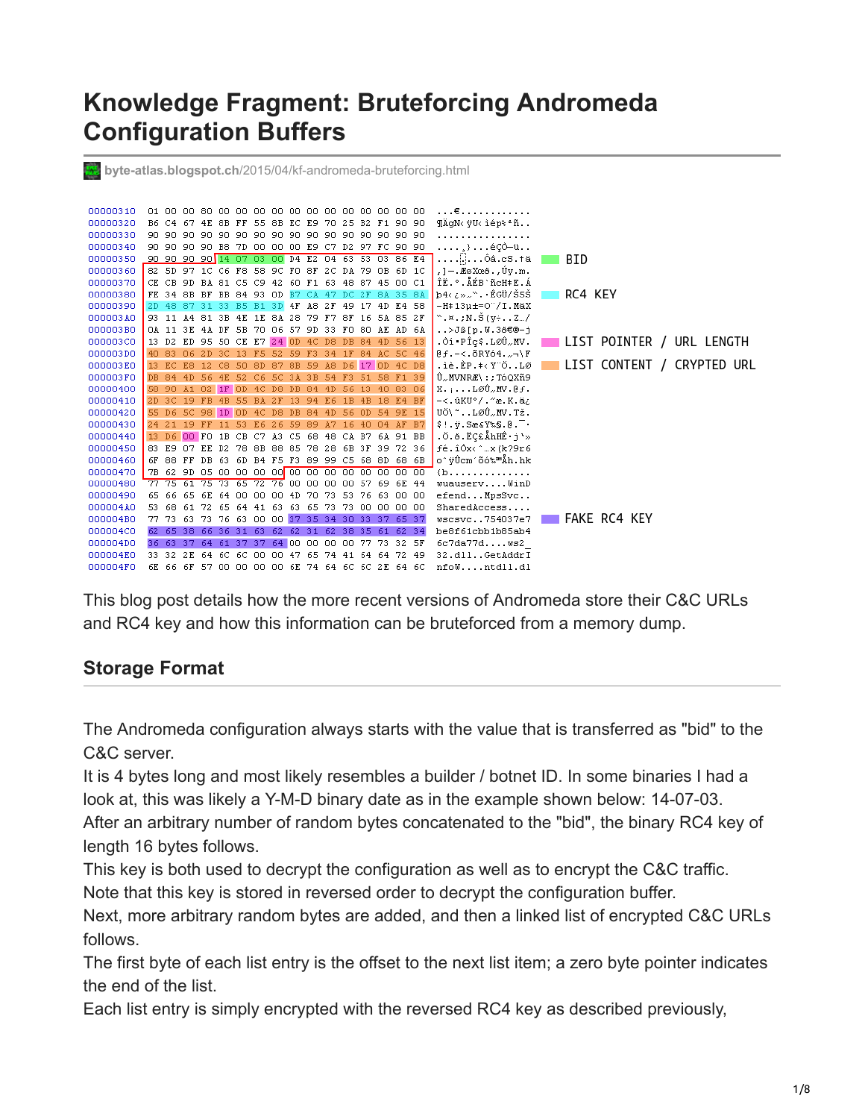# **Knowledge Fragment: Bruteforcing Andromeda Configuration Buffers**



This blog post details how the more recent versions of Andromeda store their C&C URLs and RC4 key and how this information can be bruteforced from a memory dump.

## **Storage Format**

The Andromeda configuration always starts with the value that is transferred as "bid" to the C&C server.

It is 4 bytes long and most likely resembles a builder / botnet ID. In some binaries I had a look at, this was likely a Y-M-D binary date as in the example shown below: 14-07-03. After an arbitrary number of random bytes concatenated to the "bid", the binary RC4 key of length 16 bytes follows.

This key is both used to decrypt the configuration as well as to encrypt the C&C traffic. Note that this key is stored in reversed order to decrypt the configuration buffer.

Next, more arbitrary random bytes are added, and then a linked list of encrypted C&C URLs follows.

The first byte of each list entry is the offset to the next list item; a zero byte pointer indicates the end of the list.

Each list entry is simply encrypted with the reversed RC4 key as described previously,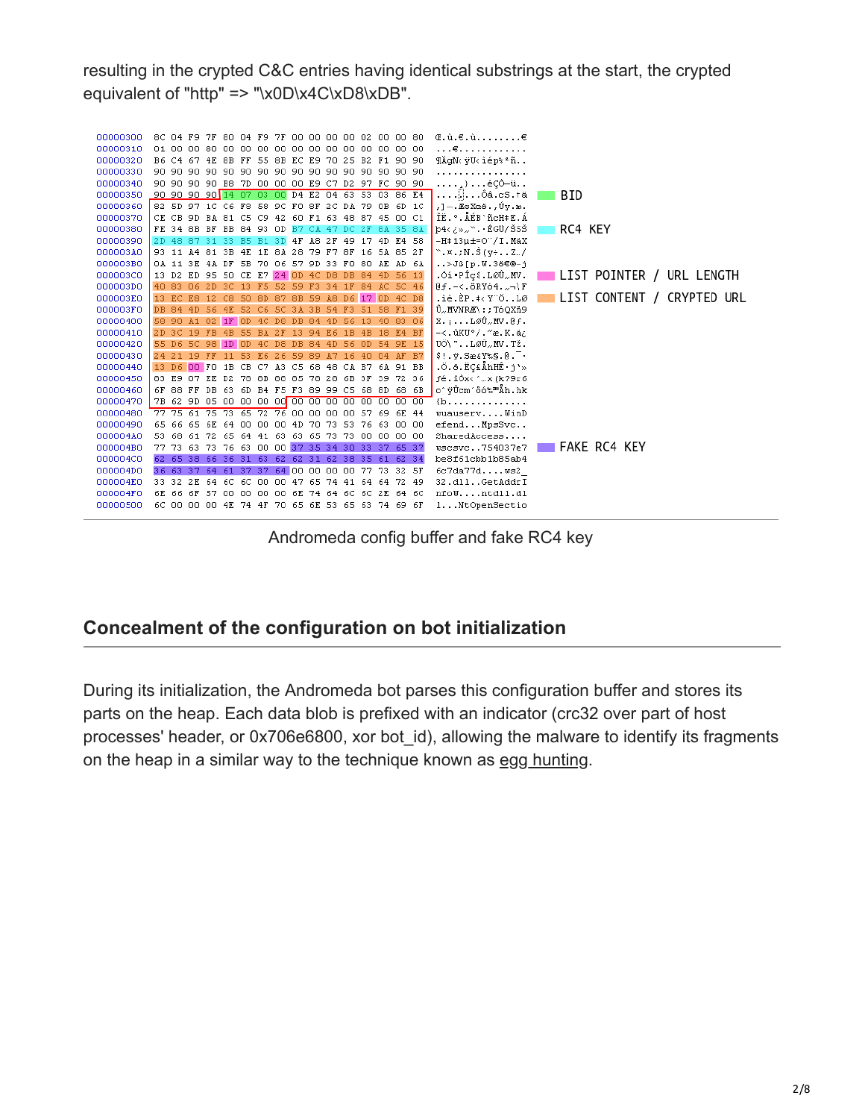resulting in the crypted C&C entries having identical substrings at the start, the crypted equivalent of "http" => "\x0D\x4C\xD8\xDB".



Andromeda config buffer and fake RC4 key

## **Concealment of the configuration on bot initialization**

During its initialization, the Andromeda bot parses this configuration buffer and stores its parts on the heap. Each data blob is prefixed with an indicator (crc32 over part of host processes' header, or 0x706e6800, xor bot\_id), allowing the malware to identify its fragments on the heap in a similar way to the technique known as [egg hunting](https://www.corelan.be/index.php/2010/01/09/exploit-writing-tutorial-part-8-win32-egg-hunting/).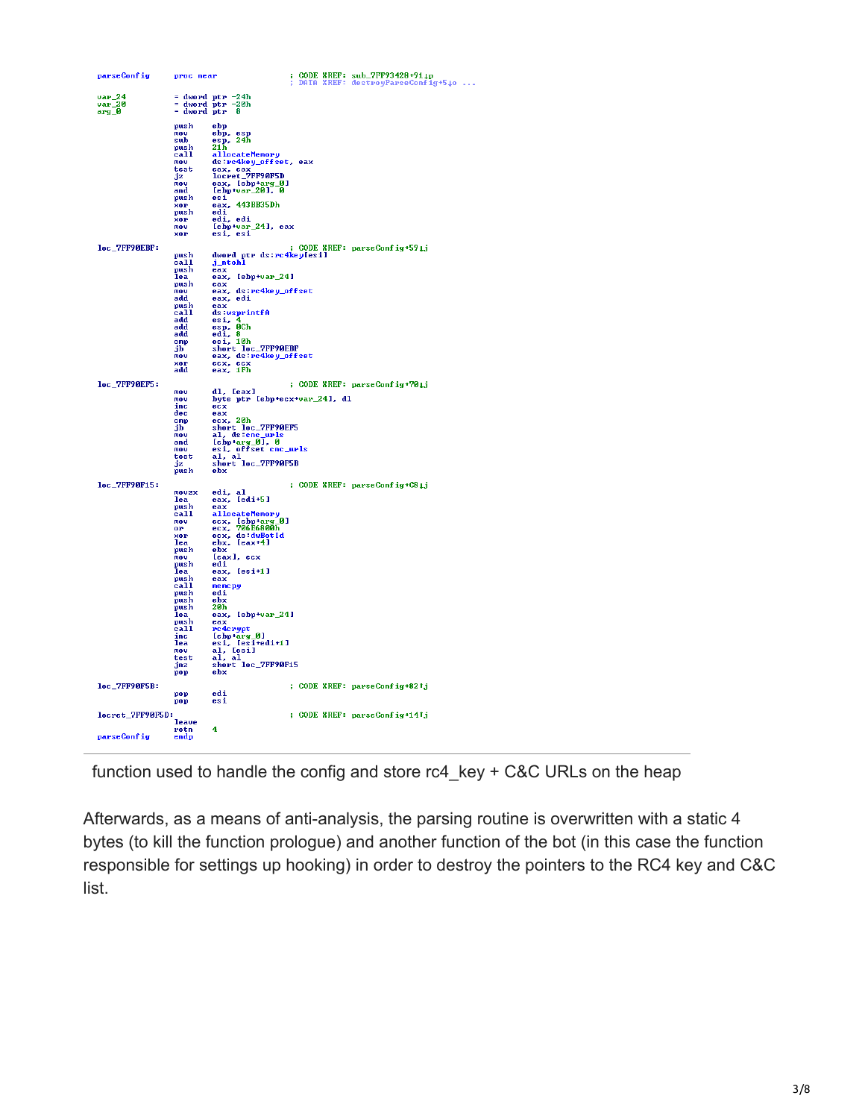| parseConfig      | proc near      |                                                  | ĵ. |  | CODE XREF: sub_7FF93428+91.4p<br>DATA XREF: destroyParseConfig+540 |
|------------------|----------------|--------------------------------------------------|----|--|--------------------------------------------------------------------|
| $var_24$         |                | $=$ dword ptr $-24h$                             |    |  |                                                                    |
| $var_20$         |                | $=$ dword ptr $-20h$                             |    |  |                                                                    |
| $arg_0$          | = dword ptr    | -R                                               |    |  |                                                                    |
|                  | push           | ebp                                              |    |  |                                                                    |
|                  | mov<br>sub     | ebp, esp<br>24ĥ<br>esp,                          |    |  |                                                                    |
|                  | push           | 21 h                                             |    |  |                                                                    |
|                  | call<br>mnu    | allocateMemory                                   |    |  |                                                                    |
|                  | test           | ds:rc4key_offset, eax                            |    |  |                                                                    |
|                  | jz             | eax, eax<br>locret_7FF90F5D                      |    |  |                                                                    |
|                  | nov<br>and     | eax, [ebp+arg_0]<br>$[ebp+var_20]$ , 0           |    |  |                                                                    |
|                  | push           | esi<br>eax, 443BB35Dh                            |    |  |                                                                    |
|                  | xor<br>push    | edi                                              |    |  |                                                                    |
|                  | XOP            | edi, edi                                         |    |  |                                                                    |
|                  | mov<br>xor     | [ebp+var_24], eax<br>esi, esi                    |    |  |                                                                    |
| loc_7FF90EBF:    |                |                                                  |    |  | ; CODE XREF: parseConfig+594j                                      |
|                  | push           | dword ptr ds:rc4key[esi]                         |    |  |                                                                    |
|                  | call<br>push   | j_ntohl<br>$\overline{\mathbf{e}}$ ax            |    |  |                                                                    |
|                  | lea            | [ebp+var_24]<br>eax,                             |    |  |                                                                    |
|                  | push<br>mou    | eax                                              |    |  |                                                                    |
|                  | add            | eax, ds:rc4key_offset<br>eax, edi                |    |  |                                                                    |
|                  | push           | eax                                              |    |  |                                                                    |
|                  | call<br>add    | ds:wsprintfA<br>esi, 4                           |    |  |                                                                    |
|                  | add            | $\overline{eg}$ , $\overline{eg}$ .              |    |  |                                                                    |
|                  | add<br>cmp     | $e$ si, 10h                                      |    |  |                                                                    |
|                  | jЬ             | short loc_7FF90EBF                               |    |  |                                                                    |
|                  | mov<br>xor     | eax, ds:rc4key_offset<br>ecx, ecx<br>eax, 1Fh    |    |  |                                                                    |
|                  | add            |                                                  |    |  |                                                                    |
| loc_7FF90EF5:    |                |                                                  |    |  | ; CODE XREF: parseConfig+701j                                      |
|                  | nov<br>mov     | dl, [eax]<br>byte ptr [ebp+ecx+var_24], dl       |    |  |                                                                    |
|                  | inc            | ecx                                              |    |  |                                                                    |
|                  | dec<br>cmp     | eax<br>ex.20 <sub>h</sub>                        |    |  |                                                                    |
|                  | jb             | short loc_7FF90EF5                               |    |  |                                                                    |
|                  | mov<br>and     | al, ds:cnc_urls<br>[ebp+arg_0], 0                |    |  |                                                                    |
|                  | mov            | esi, offset cnc_urls                             |    |  |                                                                    |
|                  | test<br>jz     | al, al<br>short loc_7FF90F5B                     |    |  |                                                                    |
|                  | push           | ebx                                              |    |  |                                                                    |
| loc_7FF90F15:    |                |                                                  |    |  | ; CODE XREF: parseConfig+C84j                                      |
|                  | movzx<br>lea   | edi, al<br>eax, [edi+5]                          |    |  |                                                                    |
|                  | push           | eax                                              |    |  |                                                                    |
|                  | call<br>nov    | allocateMemory                                   |    |  |                                                                    |
|                  | 0P             | ecx, [ebp+arg_0]<br>ecx, 706E6800h               |    |  |                                                                    |
|                  | xor<br>lea     | ecx, ds:dwBotId<br>ebx, [eax+4]                  |    |  |                                                                    |
|                  | push           | ebx                                              |    |  |                                                                    |
|                  | mou<br>push    | [eax], ecx<br>edi                                |    |  |                                                                    |
|                  | lea            | eax,<br>[esi+1]                                  |    |  |                                                                    |
|                  | push<br>call   | eax<br>memopy                                    |    |  |                                                                    |
|                  | push           | edi                                              |    |  |                                                                    |
|                  | push<br>push   | $rac{b}{20h}$                                    |    |  |                                                                    |
|                  | lea            | eax, [ebp+var_24]                                |    |  |                                                                    |
|                  | push<br>call   | eax<br>rc4crypt                                  |    |  |                                                                    |
|                  | inc            | [ebp+arg_0]                                      |    |  |                                                                    |
|                  | lea<br>mov     | esi, [esi+edi+1]<br>al, [esi+edi+1]<br>al, [esi] |    |  |                                                                    |
|                  | test           | al, al                                           |    |  |                                                                    |
|                  | jnz<br>pop     | short loc_7FF90F15<br>ebx                        |    |  |                                                                    |
| loc_7FF90F5B:    |                |                                                  |    |  | ; CODE XREF: parseConfig+821j                                      |
|                  | pop            | edi                                              |    |  |                                                                    |
|                  | pop            | esi                                              |    |  |                                                                    |
| locret_7FF90F5D: |                |                                                  |    |  | ; CODE XREF: parseConfig+141j                                      |
|                  | leave<br>retn. | 4                                                |    |  |                                                                    |
| parseConfig      | endp           |                                                  |    |  |                                                                    |
|                  |                |                                                  |    |  |                                                                    |

function used to handle the config and store rc4\_key + C&C URLs on the heap

Afterwards, as a means of anti-analysis, the parsing routine is overwritten with a static 4 bytes (to kill the function prologue) and another function of the bot (in this case the function responsible for settings up hooking) in order to destroy the pointers to the RC4 key and C&C list.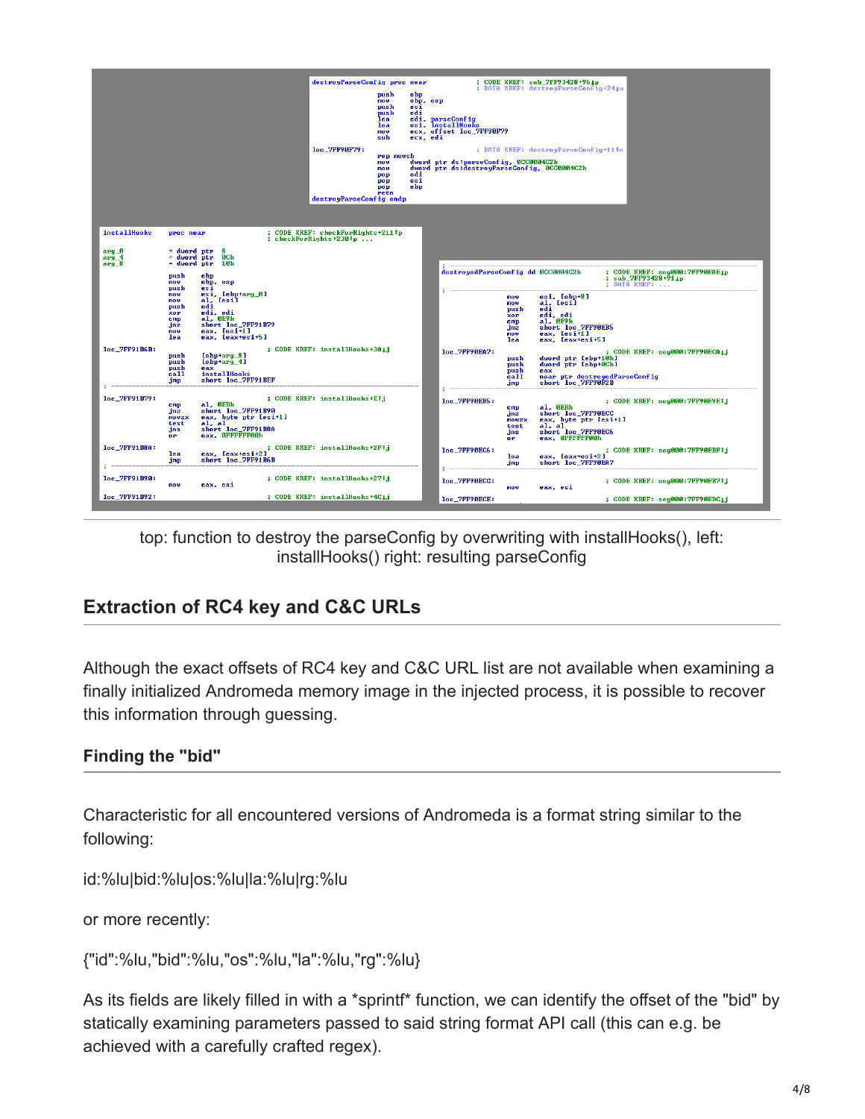

top: function to destroy the parseConfig by overwriting with installHooks(), left: installHooks() right: resulting parseConfig

# **Extraction of RC4 key and C&C URLs**

Although the exact offsets of RC4 key and C&C URL list are not available when examining a finally initialized Andromeda memory image in the injected process, it is possible to recover this information through guessing.

### **Finding the "bid"**

Characteristic for all encountered versions of Andromeda is a format string similar to the following:

id:%lu|bid:%lu|os:%lu|la:%lu|rg:%lu

or more recently:

{"id":%lu,"bid":%lu,"os":%lu,"la":%lu,"rg":%lu}

As its fields are likely filled in with a \*sprintf\* function, we can identify the offset of the "bid" by statically examining parameters passed to said string format API call (this can e.g. be achieved with a carefully crafted regex).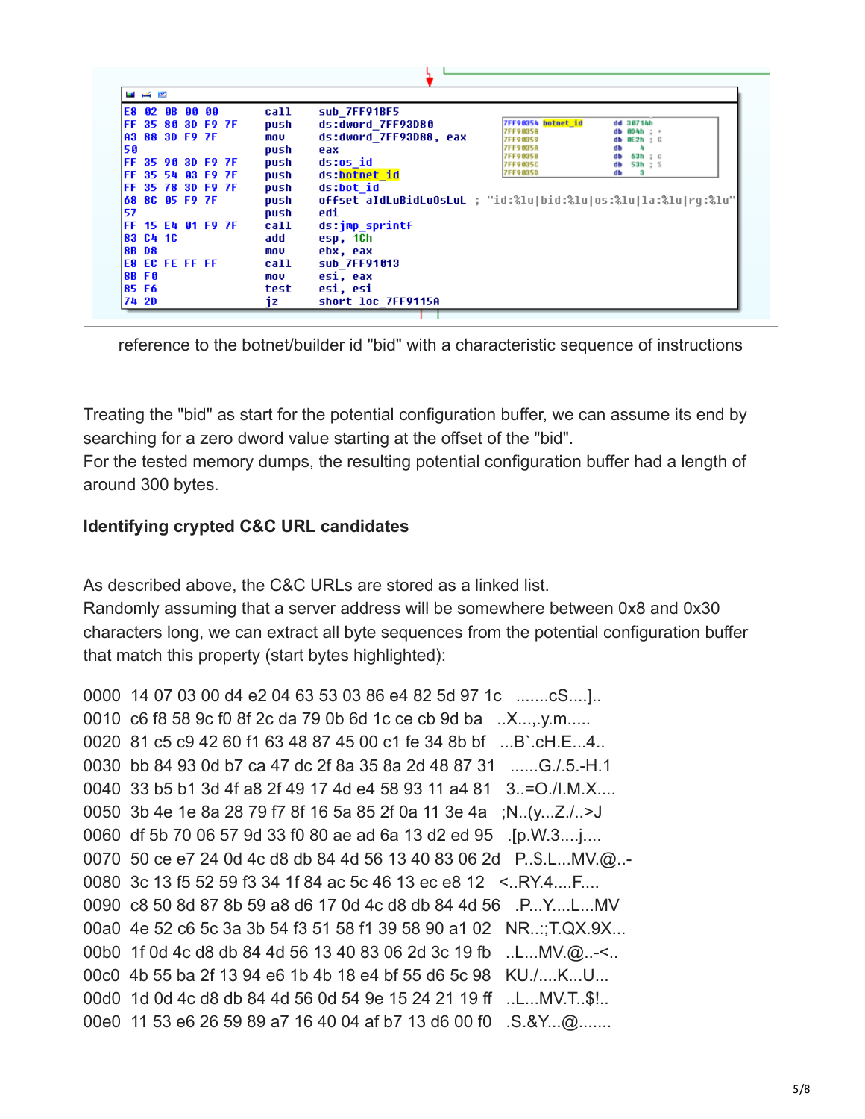|    | دو کی س      |                           |  |      |                                                                         |
|----|--------------|---------------------------|--|------|-------------------------------------------------------------------------|
|    |              | E8 02 0B 00 00            |  | call | sub 7FF91BF5                                                            |
|    |              | IFF 35 80 3D F9 7F        |  | push | 7FF90354 botnet id<br>ds:dword 7FF93D80<br>dd 38714h<br>7FF90358        |
|    |              | A3 88 3D F9 7F            |  | mov  | db 004h : +<br>ds:dword 7FF93D88, eax<br><b>7FF98359</b><br>db 0E2h ; G |
| 50 |              |                           |  | push | <b>7FF9835A</b><br>eax                                                  |
|    |              | <b>IFF 35 90 3D F9 7F</b> |  | push | 7FF9035B<br>63h : c<br>ds:os id<br>53h : S<br><b>7FF9835C</b><br>db     |
|    |              | IFF 35 54 03 F9 7F        |  | push | <b>7FF9835D</b><br>$_{3}$<br>db<br>ds:botnet id                         |
|    |              | IFF 35 78 3D F9 7F        |  | push | ds:bot id                                                               |
|    |              | 68 8C 05 F9 7F            |  | push | offset aIdLuBidLuOsLuL ; "id:%lu bid:%lu os:%lu la:%lu rq:%lu"          |
| 57 |              |                           |  | push | edi                                                                     |
|    |              | IFF 15 E4 01 F9 7F        |  | call | ds:jmp sprintf                                                          |
|    | 183 C4 1C    |                           |  | add  | esp, 1Ch                                                                |
|    | <b>88 D8</b> |                           |  | mov  | ebx, eax                                                                |
|    |              | IE8 EC FE FF FF           |  | call | sub 7FF91013                                                            |
|    | <b>8BF0</b>  |                           |  | mov  | esi, eax                                                                |
|    | 185 F6       |                           |  | test | esi, esi                                                                |
|    | 74 2D        |                           |  | iz   | short loc 7FF9115A                                                      |

reference to the botnet/builder id "bid" with a characteristic sequence of instructions

Treating the "bid" as start for the potential configuration buffer, we can assume its end by searching for a zero dword value starting at the offset of the "bid".

For the tested memory dumps, the resulting potential configuration buffer had a length of around 300 bytes.

#### **Identifying crypted C&C URL candidates**

As described above, the C&C URLs are stored as a linked list.

Randomly assuming that a server address will be somewhere between 0x8 and 0x30 characters long, we can extract all byte sequences from the potential configuration buffer that match this property (start bytes highlighted):

```
0000 14 07 03 00 d4 e2 04 63 53 03 86 e4 82 5d 97 1c .......cS....].
0010 c6 f8 58 9c f0 8f 2c da 79 0b 6d 1c ce cb 9d ba ..X...,.y.m.....
0020 81 c5 c9 42 60 f1 63 48 87 45 00 c1 fe 34 8b bf ...B'.cH.E...4..
0030 bb 84 93 0d b7 ca 47 dc 2f 8a 35 8a 2d 48 87 31 ......G./.5.-H.1
0040 33 b5 b1 3d 4f a8 2f 49 17 4d e4 58 93 11 a4 81 3..=O./I.M.X....
0050 3b 4e 1e 8a 28 79 f7 8f 16 5a 85 2f 0a 11 3e 4a ;N..(y...Z./..>J
0060 df 5b 70 06 57 9d 33 f0 80 ae ad 6a 13 d2 ed 95 .[p.W.3....j....
0070 50 ce e7 24 0d 4c d8 db 84 4d 56 13 40 83 06 2d P..$.L...MV.@..-
0080 3c 13 f5 52 59 f3 34 1f 84 ac 5c 46 13 ec e8 12 <..RY.4....F....
0090 c8 50 8d 87 8b 59 a8 d6 17 0d 4c d8 db 84 4d 56 .P...Y....L...MV
00a0 4e 52 c6 5c 3a 3b 54 f3 51 58 f1 39 58 90 a1 02 NR..:;T.QX.9X...
00b0 1f 0d 4c d8 db 84 4d 56 13 40 83 06 2d 3c 19 fb ..L...MV.@..-<..
00c0 4b 55 ba 2f 13 94 e6 1b 4b 18 e4 bf 55 d6 5c 98 KU./....K...U...
00d0 1d 0d 4c d8 db 84 4d 56 0d 54 9e 15 24 21 19 ff ..L...MV.T..$!..
00e0 11 53 e6 26 59 89 a7 16 40 04 af b7 13 d6 00 f0 .S.&Y...@.......
```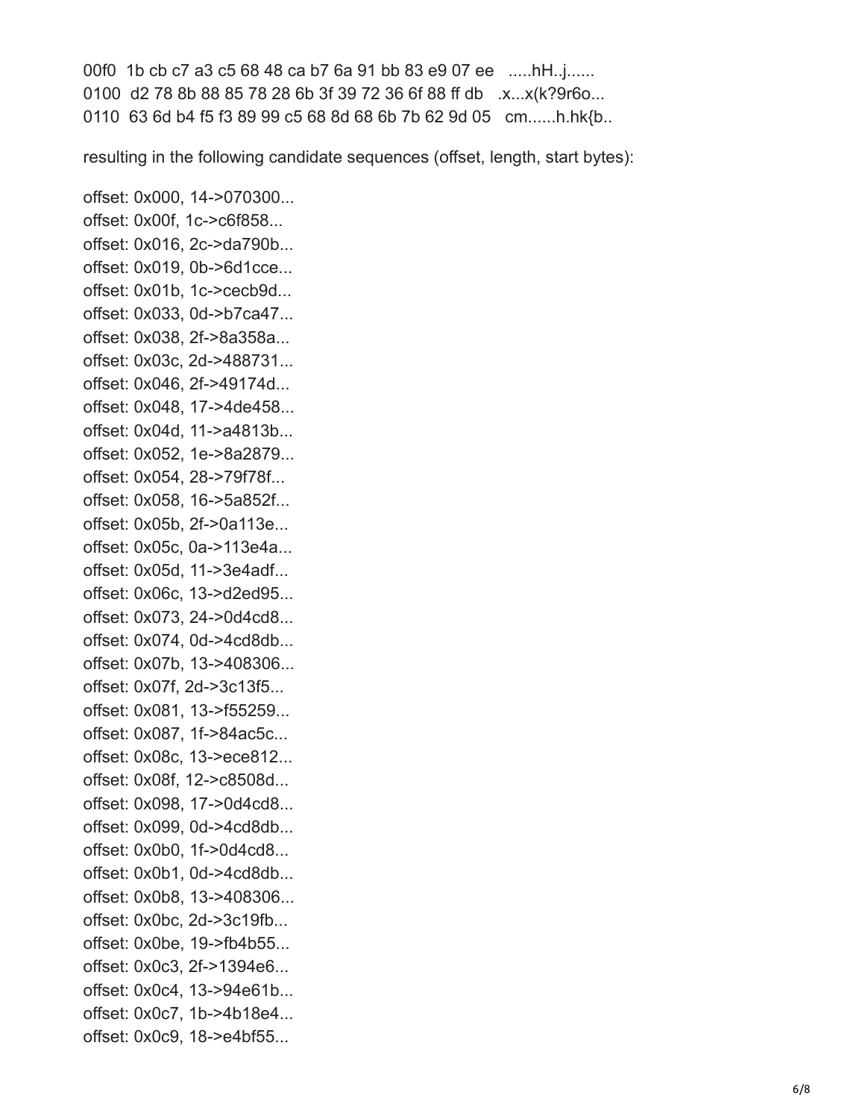00f0 1b cb c7 a3 c5 68 48 ca b7 6a 91 bb 83 e9 07 ee .....hH..j...... 0100 d2 78 8b 88 85 78 28 6b 3f 39 72 36 6f 88 ff db .x...x(k?9r6o... 0110 63 6d b4 f5 f3 89 99 c5 68 8d 68 6b 7b 62 9d 05 cm......h.hk{b..

resulting in the following candidate sequences (offset, length, start bytes):

offset: 0x000, 14->070300... offset: 0x00f, 1c->c6f858... offset: 0x016, 2c->da790b... offset: 0x019, 0b->6d1cce... offset: 0x01b, 1c->cecb9d... offset: 0x033, 0d->b7ca47... offset: 0x038, 2f->8a358a... offset: 0x03c, 2d->488731... offset: 0x046, 2f->49174d... offset: 0x048, 17->4de458... offset: 0x04d, 11->a4813b... offset: 0x052, 1e->8a2879... offset: 0x054, 28->79f78f... offset: 0x058, 16->5a852f... offset: 0x05b, 2f->0a113e... offset: 0x05c, 0a->113e4a... offset: 0x05d, 11->3e4adf... offset: 0x06c, 13->d2ed95... offset: 0x073, 24->0d4cd8... offset: 0x074, 0d->4cd8db... offset: 0x07b, 13->408306... offset: 0x07f, 2d->3c13f5... offset: 0x081, 13->f55259... offset: 0x087, 1f->84ac5c... offset: 0x08c, 13->ece812... offset: 0x08f, 12->c8508d... offset: 0x098, 17->0d4cd8... offset: 0x099, 0d->4cd8db... offset: 0x0b0, 1f->0d4cd8... offset: 0x0b1, 0d->4cd8db... offset: 0x0b8, 13->408306... offset: 0x0bc, 2d->3c19fb... offset: 0x0be, 19->fb4b55... offset: 0x0c3, 2f->1394e6... offset: 0x0c4, 13->94e61b... offset: 0x0c7, 1b->4b18e4... offset: 0x0c9, 18->e4bf55...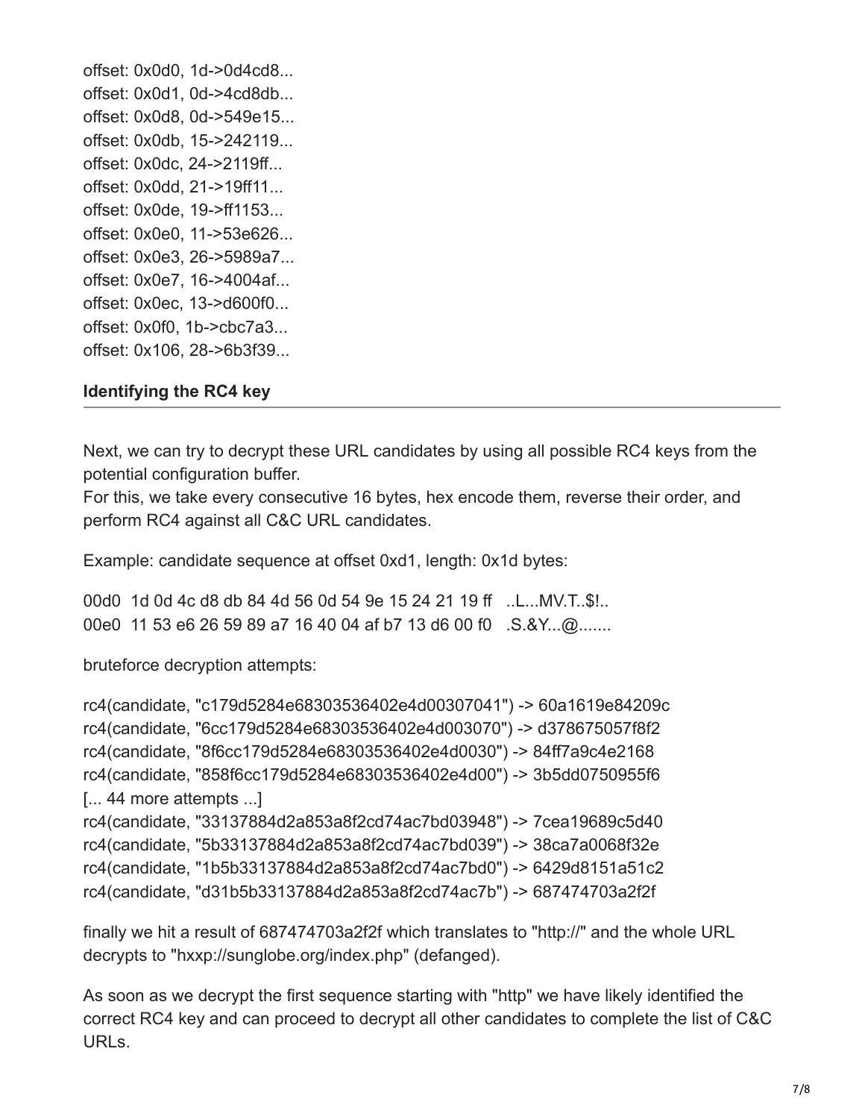offset: 0x0d0, 1d->0d4cd8... offset: 0x0d1, 0d->4cd8db... offset: 0x0d8, 0d->549e15... offset: 0x0db, 15->242119... offset: 0x0dc, 24->2119ff... offset: 0x0dd, 21->19ff11... offset: 0x0de, 19->ff1153... offset: 0x0e0, 11->53e626... offset: 0x0e3, 26->5989a7... offset: 0x0e7, 16->4004af... offset: 0x0ec, 13->d600f0... offset: 0x0f0, 1b->cbc7a3... offset: 0x106, 28->6b3f39...

#### **Identifying the RC4 key**

Next, we can try to decrypt these URL candidates by using all possible RC4 keys from the potential configuration buffer.

For this, we take every consecutive 16 bytes, hex encode them, reverse their order, and perform RC4 against all C&C URL candidates.

Example: candidate sequence at offset 0xd1, length: 0x1d bytes:

00d0 1d 0d 4c d8 db 84 4d 56 0d 54 9e 15 24 21 19 ff ..L...MV.T..\$!.. 00e0 11 53 e6 26 59 89 a7 16 40 04 af b7 13 d6 00 f0 .S.&Y...@.......

bruteforce decryption attempts:

```
rc4(candidate, "c179d5284e68303536402e4d00307041") -> 60a1619e84209c
rc4(candidate, "6cc179d5284e68303536402e4d003070") -> d378675057f8f2
rc4(candidate, "8f6cc179d5284e68303536402e4d0030") -> 84ff7a9c4e2168
rc4(candidate, "858f6cc179d5284e68303536402e4d00") -> 3b5dd0750955f6
[... 44 more attempts ...]
rc4(candidate, "33137884d2a853a8f2cd74ac7bd03948") -> 7cea19689c5d40
rc4(candidate, "5b33137884d2a853a8f2cd74ac7bd039") -> 38ca7a0068f32e
rc4(candidate, "1b5b33137884d2a853a8f2cd74ac7bd0") -> 6429d8151a51c2
rc4(candidate, "d31b5b33137884d2a853a8f2cd74ac7b") -> 687474703a2f2f
```
finally we hit a result of 687474703a2f2f which translates to "http://" and the whole URL decrypts to "hxxp://sunglobe.org/index.php" (defanged).

As soon as we decrypt the first sequence starting with "http" we have likely identified the correct RC4 key and can proceed to decrypt all other candidates to complete the list of C&C URLs.